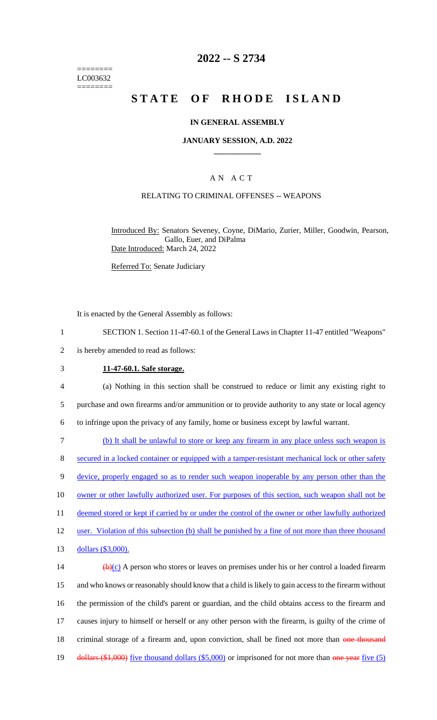======== LC003632 ========

# **2022 -- S 2734**

# **STATE OF RHODE ISLAND**

#### **IN GENERAL ASSEMBLY**

#### **JANUARY SESSION, A.D. 2022 \_\_\_\_\_\_\_\_\_\_\_\_**

#### A N A C T

# RELATING TO CRIMINAL OFFENSES -- WEAPONS

Introduced By: Senators Seveney, Coyne, DiMario, Zurier, Miller, Goodwin, Pearson, Gallo, Euer, and DiPalma Date Introduced: March 24, 2022

Referred To: Senate Judiciary

It is enacted by the General Assembly as follows:

- 1 SECTION 1. Section 11-47-60.1 of the General Laws in Chapter 11-47 entitled "Weapons"
- 2 is hereby amended to read as follows:
- 

#### 3 **11-47-60.1. Safe storage.**

4 (a) Nothing in this section shall be construed to reduce or limit any existing right to 5 purchase and own firearms and/or ammunition or to provide authority to any state or local agency 6 to infringe upon the privacy of any family, home or business except by lawful warrant.

7 (b) It shall be unlawful to store or keep any firearm in any place unless such weapon is 8 secured in a locked container or equipped with a tamper-resistant mechanical lock or other safety 9 device, properly engaged so as to render such weapon inoperable by any person other than the 10 owner or other lawfully authorized user. For purposes of this section, such weapon shall not be 11 deemed stored or kept if carried by or under the control of the owner or other lawfully authorized 12 user. Violation of this subsection (b) shall be punished by a fine of not more than three thousand 13 dollars (\$3,000). 14  $\left(\frac{b}{c}\right)$  A person who stores or leaves on premises under his or her control a loaded firearm

15 and who knows or reasonably should know that a child is likely to gain access to the firearm without 16 the permission of the child's parent or guardian, and the child obtains access to the firearm and 17 causes injury to himself or herself or any other person with the firearm, is guilty of the crime of 18 criminal storage of a firearm and, upon conviction, shall be fined not more than one thousand 19 dollars (\$1,000) five thousand dollars (\$5,000) or imprisoned for not more than one year five (5)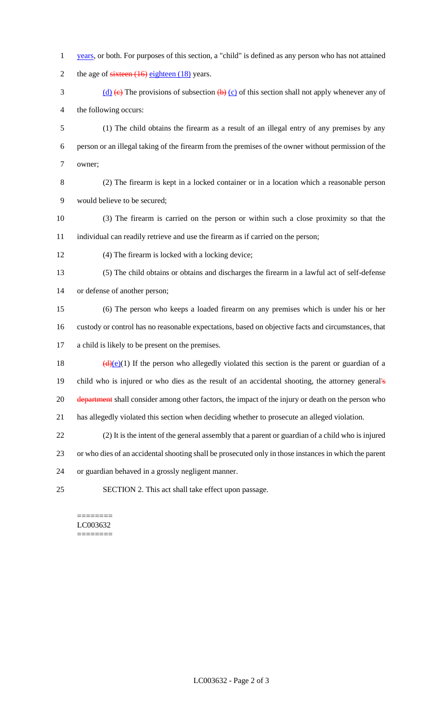- years, or both. For purposes of this section, a "child" is defined as any person who has not attained 2 the age of  $s$ ixteen (16) eighteen (18) years.
- 3 (d)  $\leftrightarrow$  The provisions of subsection  $\leftrightarrow$  (c) of this section shall not apply whenever any of the following occurs:

 (1) The child obtains the firearm as a result of an illegal entry of any premises by any person or an illegal taking of the firearm from the premises of the owner without permission of the owner;

 (2) The firearm is kept in a locked container or in a location which a reasonable person would believe to be secured;

- (3) The firearm is carried on the person or within such a close proximity so that the individual can readily retrieve and use the firearm as if carried on the person;
- (4) The firearm is locked with a locking device;

 (5) The child obtains or obtains and discharges the firearm in a lawful act of self-defense or defense of another person;

 (6) The person who keeps a loaded firearm on any premises which is under his or her custody or control has no reasonable expectations, based on objective facts and circumstances, that a child is likely to be present on the premises.

18 ( $\frac{d}{e}(e)(1)$  If the person who allegedly violated this section is the parent or guardian of a child who is injured or who dies as the result of an accidental shooting, the attorney general's 20 department shall consider among other factors, the impact of the injury or death on the person who has allegedly violated this section when deciding whether to prosecute an alleged violation.

(2) It is the intent of the general assembly that a parent or guardian of a child who is injured

or who dies of an accidental shooting shall be prosecuted only in those instances in which the parent

- or guardian behaved in a grossly negligent manner.
- SECTION 2. This act shall take effect upon passage.

======== LC003632 ========